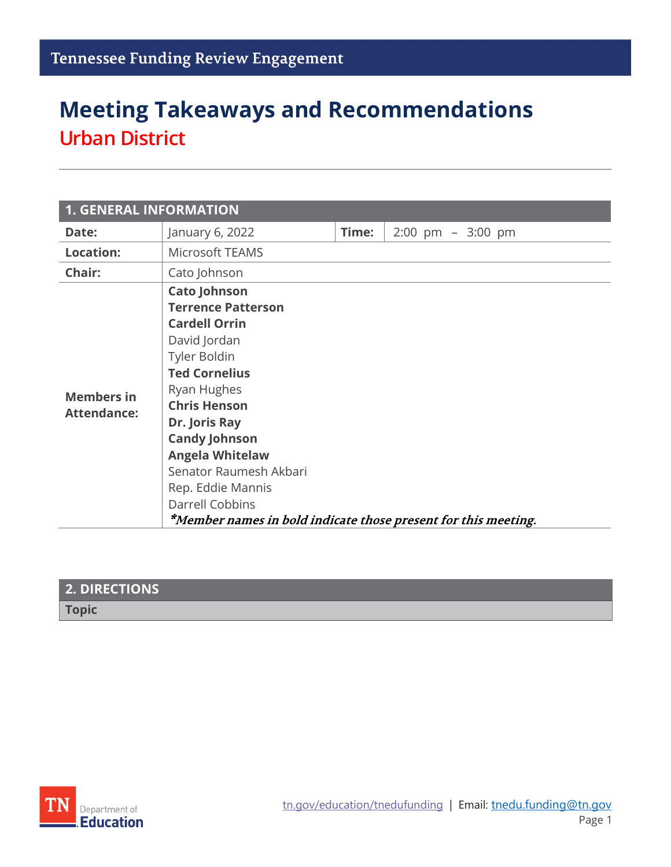## **Meeting Takeaways and Recommendations Urban District**

| <b>1. GENERAL INFORMATION</b>           |                                                                                                                                                                                                                                                                                                                                                                               |       |                                      |  |
|-----------------------------------------|-------------------------------------------------------------------------------------------------------------------------------------------------------------------------------------------------------------------------------------------------------------------------------------------------------------------------------------------------------------------------------|-------|--------------------------------------|--|
| Date:                                   | January 6, 2022                                                                                                                                                                                                                                                                                                                                                               | Time: | $2:00 \text{ pm } - 3:00 \text{ pm}$ |  |
| <b>Location:</b>                        | Microsoft TEAMS                                                                                                                                                                                                                                                                                                                                                               |       |                                      |  |
| Chair:                                  | Cato Johnson                                                                                                                                                                                                                                                                                                                                                                  |       |                                      |  |
| <b>Members in</b><br><b>Attendance:</b> | <b>Cato Johnson</b><br><b>Terrence Patterson</b><br><b>Cardell Orrin</b><br>David Jordan<br>Tyler Boldin<br><b>Ted Cornelius</b><br>Ryan Hughes<br><b>Chris Henson</b><br>Dr. Joris Ray<br><b>Candy Johnson</b><br><b>Angela Whitelaw</b><br>Senator Raumesh Akbari<br>Rep. Eddie Mannis<br>Darrell Cobbins<br>*Member names in bold indicate those present for this meeting. |       |                                      |  |

| <b>2. DIRECTIONS</b> |  |
|----------------------|--|
| <b>Topic</b>         |  |
|                      |  |

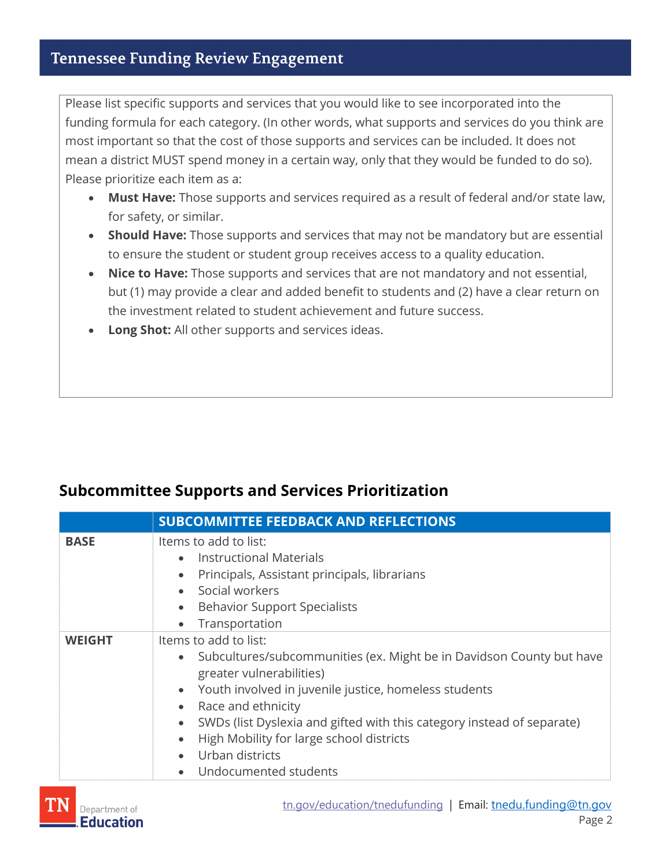## **Tennessee Funding Review Engagement**

Please list specific supports and services that you would like to see incorporated into the funding formula for each category. (In other words, what supports and services do you think are most important so that the cost of those supports and services can be included. It does not mean a district MUST spend money in a certain way, only that they would be funded to do so). Please prioritize each item as a:

- **Must Have:** Those supports and services required as a result of federal and/or state law, for safety, or similar.
- **Should Have:** Those supports and services that may not be mandatory but are essential to ensure the student or student group receives access to a quality education.
- **Nice to Have:** Those supports and services that are not mandatory and not essential, but (1) may provide a clear and added benefit to students and (2) have a clear return on the investment related to student achievement and future success.
- **Long Shot:** All other supports and services ideas.

## **Subcommittee Supports and Services Prioritization**

|               | <b>SUBCOMMITTEE FEEDBACK AND REFLECTIONS</b>                                                                                                                                                                                                                                                                                                                                                                                   |
|---------------|--------------------------------------------------------------------------------------------------------------------------------------------------------------------------------------------------------------------------------------------------------------------------------------------------------------------------------------------------------------------------------------------------------------------------------|
| <b>BASE</b>   | Items to add to list:<br><b>Instructional Materials</b><br>Principals, Assistant principals, librarians<br>$\bullet$<br>Social workers<br><b>Behavior Support Specialists</b><br>$\bullet$<br>Transportation<br>$\bullet$                                                                                                                                                                                                      |
| <b>WEIGHT</b> | Items to add to list:<br>Subcultures/subcommunities (ex. Might be in Davidson County but have<br>greater vulnerabilities)<br>Youth involved in juvenile justice, homeless students<br>$\bullet$<br>Race and ethnicity<br>$\bullet$<br>SWDs (list Dyslexia and gifted with this category instead of separate)<br>$\bullet$<br>High Mobility for large school districts<br>$\bullet$<br>Urban districts<br>Undocumented students |

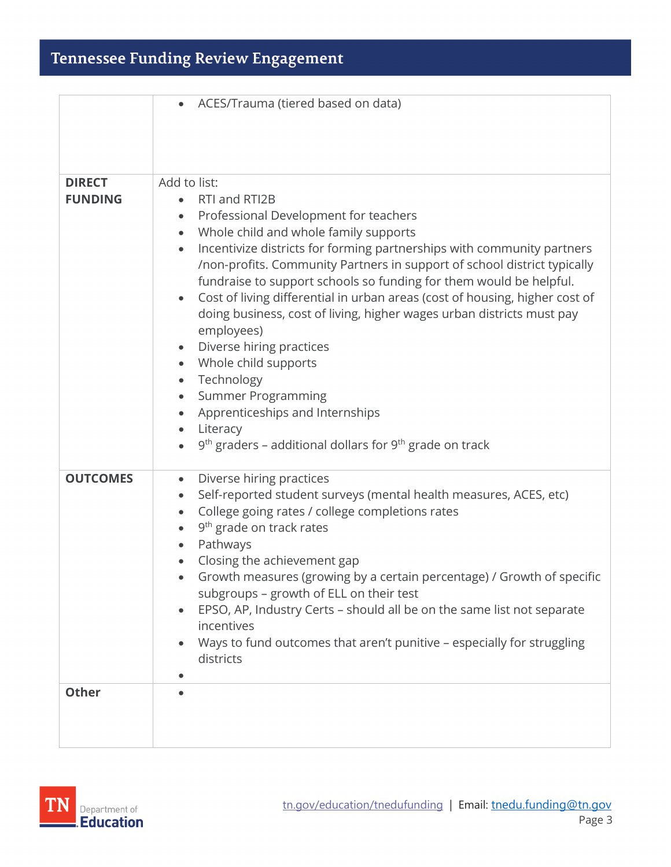|                                 | ACES/Trauma (tiered based on data)                                                                                                                                                                                                                                                                                                                                                                                                                                                                                                                                                                                                                                                                                                                                                                                                                               |
|---------------------------------|------------------------------------------------------------------------------------------------------------------------------------------------------------------------------------------------------------------------------------------------------------------------------------------------------------------------------------------------------------------------------------------------------------------------------------------------------------------------------------------------------------------------------------------------------------------------------------------------------------------------------------------------------------------------------------------------------------------------------------------------------------------------------------------------------------------------------------------------------------------|
| <b>DIRECT</b><br><b>FUNDING</b> | Add to list:<br>RTI and RTI2B<br>Professional Development for teachers<br>$\bullet$<br>Whole child and whole family supports<br>$\bullet$<br>Incentivize districts for forming partnerships with community partners<br>$\bullet$<br>/non-profits. Community Partners in support of school district typically<br>fundraise to support schools so funding for them would be helpful.<br>Cost of living differential in urban areas (cost of housing, higher cost of<br>$\bullet$<br>doing business, cost of living, higher wages urban districts must pay<br>employees)<br>Diverse hiring practices<br>$\bullet$<br>Whole child supports<br>Technology<br>$\bullet$<br><b>Summer Programming</b><br>$\bullet$<br>Apprenticeships and Internships<br>$\bullet$<br>Literacy<br>$\bullet$<br>$9th$ graders – additional dollars for $9th$ grade on track<br>$\bullet$ |
| <b>OUTCOMES</b>                 | Diverse hiring practices<br>$\bullet$<br>Self-reported student surveys (mental health measures, ACES, etc)<br>$\bullet$<br>College going rates / college completions rates<br>$\bullet$<br>9 <sup>th</sup> grade on track rates<br>$\bullet$<br>Pathways<br>Closing the achievement gap<br>Growth measures (growing by a certain percentage) / Growth of specific<br>$\bullet$<br>subgroups - growth of ELL on their test<br>EPSO, AP, Industry Certs - should all be on the same list not separate<br>$\bullet$<br>incentives<br>Ways to fund outcomes that aren't punitive - especially for struggling<br>districts                                                                                                                                                                                                                                            |
| <b>Other</b>                    |                                                                                                                                                                                                                                                                                                                                                                                                                                                                                                                                                                                                                                                                                                                                                                                                                                                                  |